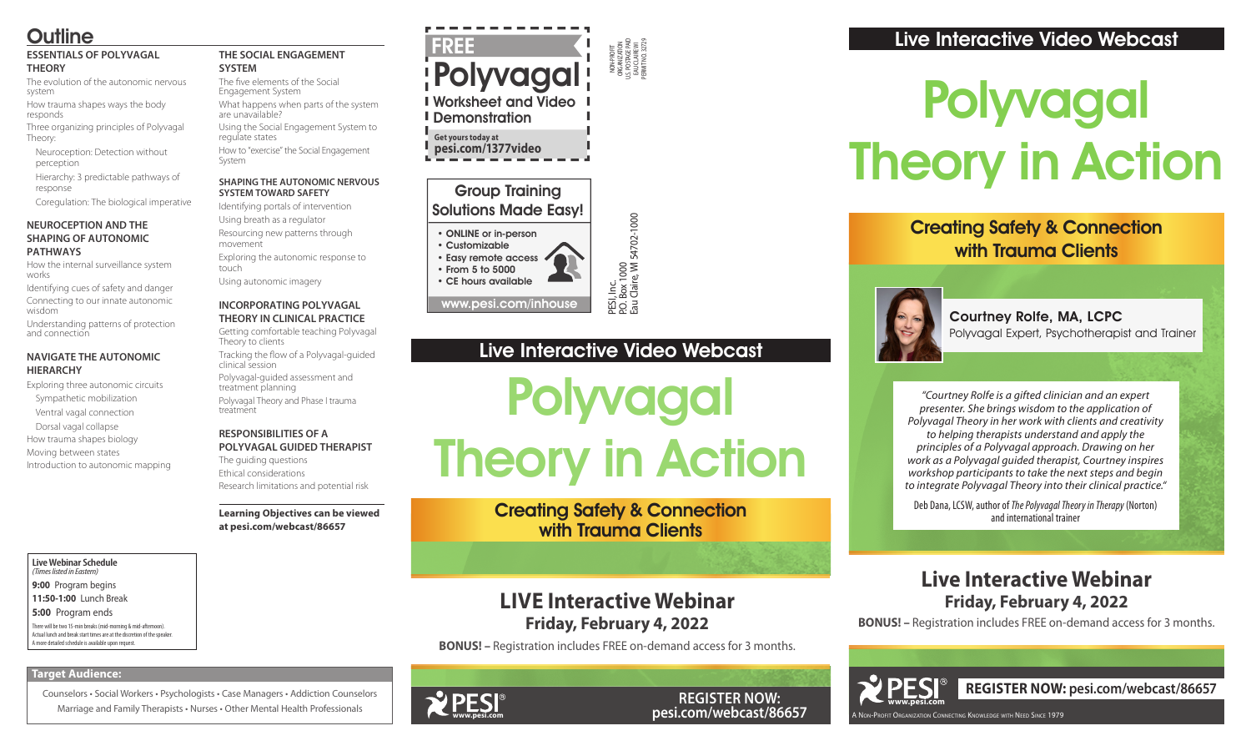NON-PROFIT ORGANIZATION U.S. POSTAGE PAID EAU CLAIRE WI PERMIT NO. 32729

PESI, Inc.<br>P.O. Box 1000<br>Eau Claire, WI 54702-1000 P.O. Box 1000 Eau Claire, WI 54702-1000

• ONLINE or in-person • Customizable • Easy remote access

### Group Training Solutions Made Easy!

There will be two 15-min breaks (mid-morning & mid-afternoon). Actual lunch and break start times are at the discretion of the speaker • From 5 to 5000

• CE hours available

www.pesi.com/inhouse

## Polyvagal Theory in Action

**Live Webinar Schedule** *(Times listed in Eastern)* **9:00** Program begins **11:50-1:00** Lunch Break **5:00** Program ends

A more detailed schedule is available upon request.

Courtney Rolfe, MA, LCPC Polyvagal Expert, Psychotherapist and Trainer

Creating Safety & Connection with Trauma Clients

A Non-Profit Organization Connecting Knowledge with Need Since 1979



**REGISTER NOW: pesi.com/webcast/86657**

## Live Interactive Video Webcast

*"Courtney Rolfe is a gifted clinician and an expert presenter. She brings wisdom to the application of Polyvagal Theory in her work with clients and creativity to helping therapists understand and apply the principles of a Polyvagal approach. Drawing on her work as a Polyvagal guided therapist, Courtney inspires workshop participants to take the next steps and begin to integrate Polyvagal Theory into their clinical practice."*

Deb Dana, LCSW, author of *The Polyvagal Theory in Therapy* (Norton) and international trainer

## **Live Interactive Webinar Friday, February 4, 2022**

**BONUS! –** Registration includes FREE on-demand access for 3 months.

# Polyvagal Theory in Action

**REGISTER NOW: pesi.com/webcast/86657**

## **LIVE Interactive Webinar Friday, February 4, 2022**

**BONUS! –** Registration includes FREE on-demand access for 3 months.

## **Outline**

#### **ESSENTIALS OF POLYVAGAL THEORY**

The evolution of the autonomic nervous system

FREE Polyvagal Worksheet and Video **I** Demonstration

How trauma shapes ways the body responds

> Creating Safety & Connection with Trauma Clients

Three organizing principles of Polyvagal Theory:

Neuroception: Detection without perception

Hierarchy: 3 predictable pathways of response

Coregulation: The biological imperative

#### **NEUROCEPTION AND THE SHAPING OF AUTONOMIC PATHWAYS**

How the internal surveillance system works

Identifying cues of safety and danger Connecting to our innate autonomic

wisdom Understanding patterns of protection and connection

#### **NAVIGATE THE AUTONOMIC HIERARCHY**

Exploring three autonomic circuits Sympathetic mobilization

Ventral vagal connection

Dorsal vagal collapse

How trauma shapes biology

Moving between states Introduction to autonomic mapping

#### **THE SOCIAL ENGAGEMENT SYSTEM**

The five elements of the Social Engagement System What happens when parts of the system are unavailable?

Using the Social Engagement System to regulate states

How to "exercise" the Social Engagement System

#### **SHAPING THE AUTONOMIC NERVOUS SYSTEM TOWARD SAFETY**

Identifying portals of intervention

Using breath as a regulator Resourcing new patterns through

movement Exploring the autonomic response to

touch

Using autonomic imagery

#### **INCORPORATING POLYVAGAL THEORY IN CLINICAL PRACTICE**

Getting comfortable teaching Polyvagal Theory to clients

Tracking the flow of a Polyvagal-guided clinical session

Polyvagal-guided assessment and treatment planning

Polyvagal Theory and Phase I trauma treatment

#### **RESPONSIBILITIES OF A POLYVAGAL GUIDED THERAPIST**

The guiding questions Ethical considerations Research limitations and potential risk

#### **Learning Objectives can be viewed at pesi.com/webcast/86657**

**Target Audience:** 

Counselors • Social Workers • Psychologists • Case Managers • Addiction Counselors Marriage and Family Therapists • Nurses • Other Mental Health Professionals

**WPESI** 





**Get yours today at pesi.com/1377video**

Live Interactive Video Webcast